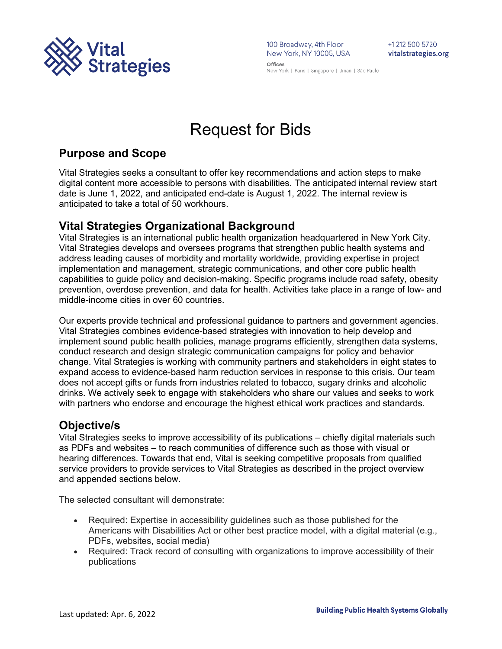

100 Broadway, 4th Floor<br>New York, NY 10005, USA Offices

+1 212 500 5720 vitalstrategies.org

New York | Paris | Singapore | Jinan | São Paulo

# Request for Bids

# **Purpose and Scope**

Vital Strategies seeks a consultant to offer key recommendations and action steps to make digital content more accessible to persons with disabilities. The anticipated internal review start date is June 1, 2022, and anticipated end-date is August 1, 2022. The internal review is anticipated to take a total of 50 workhours.

# **Vital Strategies Organizational Background**

Vital Strategies is an international public health organization headquartered in New York City. Vital Strategies develops and oversees programs that strengthen public health systems and address leading causes of morbidity and mortality worldwide, providing expertise in project implementation and management, strategic communications, and other core public health capabilities to guide policy and decision-making. Specific programs include road safety, obesity prevention, overdose prevention, and data for health. Activities take place in a range of low- and middle-income cities in over 60 countries.

Our experts provide technical and professional guidance to partners and government agencies. Vital Strategies combines evidence-based strategies with innovation to help develop and implement sound public health policies, manage programs efficiently, strengthen data systems, conduct research and design strategic communication campaigns for policy and behavior change. Vital Strategies is working with community partners and stakeholders in eight states to expand access to evidence-based harm reduction services in response to this crisis. Our team does not accept gifts or funds from industries related to tobacco, sugary drinks and alcoholic drinks. We actively seek to engage with stakeholders who share our values and seeks to work with partners who endorse and encourage the highest ethical work practices and standards.

### **Objective/s**

Vital Strategies seeks to improve accessibility of its publications – chiefly digital materials such as PDFs and websites – to reach communities of difference such as those with visual or hearing differences. Towards that end, Vital is seeking competitive proposals from qualified service providers to provide services to Vital Strategies as described in the project overview and appended sections below.

The selected consultant will demonstrate:

- Required: Expertise in accessibility guidelines such as those published for the Americans with Disabilities Act or other best practice model, with a digital material (e.g., PDFs, websites, social media)
- Required: Track record of consulting with organizations to improve accessibility of their publications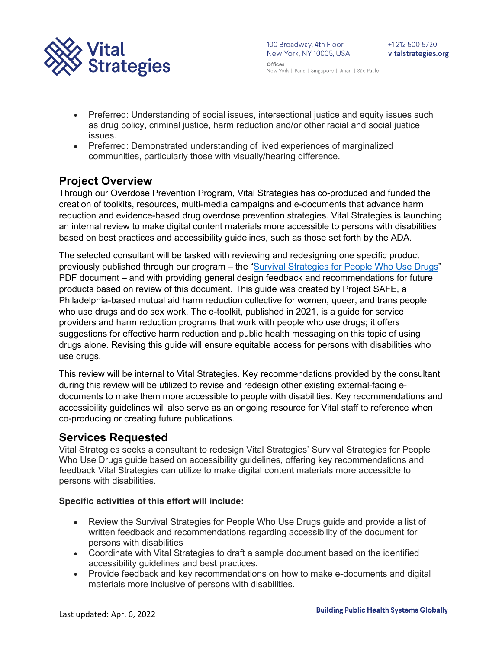

- Preferred: Understanding of social issues, intersectional justice and equity issues such as drug policy, criminal justice, harm reduction and/or other racial and social justice issues.
- Preferred: Demonstrated understanding of lived experiences of marginalized communities, particularly those with visually/hearing difference.

# **Project Overview**

Through our Overdose Prevention Program, Vital Strategies has co-produced and funded the creation of toolkits, resources, multi-media campaigns and e-documents that advance harm reduction and evidence-based drug overdose prevention strategies. Vital Strategies is launching an internal review to make digital content materials more accessible to persons with disabilities based on best practices and accessibility guidelines, such as those set forth by the ADA.

The selected consultant will be tasked with reviewing and redesigning one specific product previously published through our program – the ["Survival Strategies for People Who Use Drugs"](https://www.vitalstrategies.org/wp-content/uploads/PWUD-ServiceProvider-Guide-07142021.pdf) PDF document – and with providing general design feedback and recommendations for future products based on review of this document. This guide was created by Project SAFE, a Philadelphia-based mutual aid harm reduction collective for women, queer, and trans people who use drugs and do sex work. The e-toolkit, published in 2021, is a guide for service providers and harm reduction programs that work with people who use drugs; it offers suggestions for effective harm reduction and public health messaging on this topic of using drugs alone. Revising this guide will ensure equitable access for persons with disabilities who use drugs.

This review will be internal to Vital Strategies. Key recommendations provided by the consultant during this review will be utilized to revise and redesign other existing external-facing edocuments to make them more accessible to people with disabilities. Key recommendations and accessibility guidelines will also serve as an ongoing resource for Vital staff to reference when co-producing or creating future publications.

### **Services Requested**

Vital Strategies seeks a consultant to redesign Vital Strategies' Survival Strategies for People Who Use Drugs guide based on accessibility guidelines, offering key recommendations and feedback Vital Strategies can utilize to make digital content materials more accessible to persons with disabilities.

### **Specific activities of this effort will include:**

- Review the Survival Strategies for People Who Use Drugs guide and provide a list of written feedback and recommendations regarding accessibility of the document for persons with disabilities
- Coordinate with Vital Strategies to draft a sample document based on the identified accessibility guidelines and best practices.
- Provide feedback and key recommendations on how to make e-documents and digital materials more inclusive of persons with disabilities.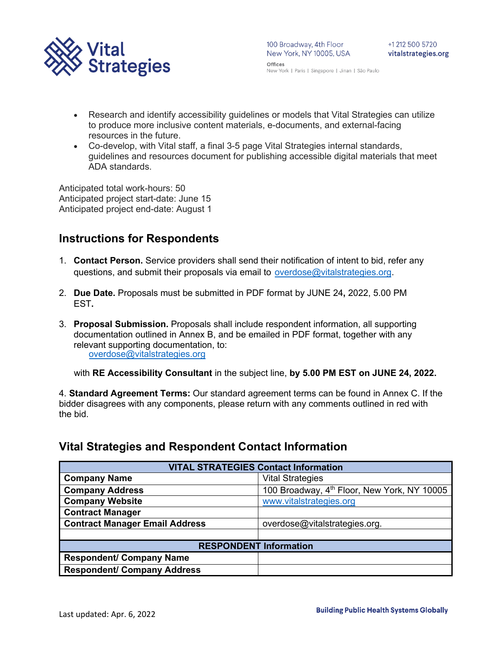

- Research and identify accessibility guidelines or models that Vital Strategies can utilize to produce more inclusive content materials, e-documents, and external-facing resources in the future.
- Co-develop, with Vital staff, a final 3-5 page Vital Strategies internal standards, guidelines and resources document for publishing accessible digital materials that meet ADA standards.

Anticipated total work-hours: 50 Anticipated project start-date: June 15 Anticipated project end-date: August 1

# **Instructions for Respondents**

- 1. **Contact Person.** Service providers shall send their notification of intent to bid, refer any questions, and submit their proposals via email to [overdose@vitalstrategies.org.](mailto:overdose@vitalstrategies.org)
- 2. **Due Date.** Proposals must be submitted in PDF format by JUNE 24**,** 2022, 5.00 PM EST**.**
- 3. **Proposal Submission.** Proposals shall include respondent information, all supporting documentation outlined in Annex B, and be emailed in PDF format, together with any relevant supporting documentation, to: [overdose@vitalstrategies.org](mailto:overdose@vitalstrategies.org)

with **RE Accessibility Consultant** in the subject line, **by 5.00 PM EST on JUNE 24, 2022.** 

4. **Standard Agreement Terms:** Our standard agreement terms can be found in Annex C. If the bidder disagrees with any components, please return with any comments outlined in red with the bid.

# **Vital Strategies and Respondent Contact Information**

| <b>VITAL STRATEGIES Contact Information</b> |                                             |  |
|---------------------------------------------|---------------------------------------------|--|
| <b>Company Name</b>                         | <b>Vital Strategies</b>                     |  |
| <b>Company Address</b>                      | 100 Broadway, 4th Floor, New York, NY 10005 |  |
| <b>Company Website</b>                      | www.vitalstrategies.org                     |  |
| <b>Contract Manager</b>                     |                                             |  |
| <b>Contract Manager Email Address</b>       | overdose@vitalstrategies.org.               |  |
|                                             |                                             |  |
| <b>RESPONDENT Information</b>               |                                             |  |
| <b>Respondent/ Company Name</b>             |                                             |  |
| <b>Respondent/ Company Address</b>          |                                             |  |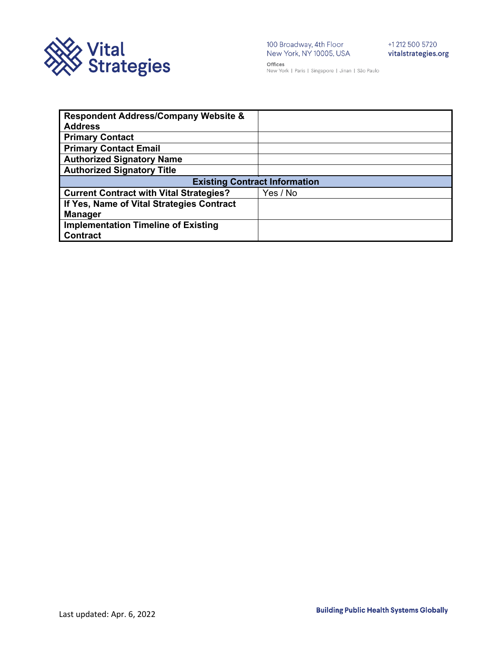

100 Broadway, 4th Floor +1 212 500 5720<br>New York, NY 10005, USA vitalstrategies.

Offices New York | Paris | Singapore | Jinan | São Paulo

| <b>Respondent Address/Company Website &amp;</b> |          |  |
|-------------------------------------------------|----------|--|
| <b>Address</b>                                  |          |  |
| <b>Primary Contact</b>                          |          |  |
| <b>Primary Contact Email</b>                    |          |  |
| <b>Authorized Signatory Name</b>                |          |  |
| <b>Authorized Signatory Title</b>               |          |  |
| <b>Existing Contract Information</b>            |          |  |
| <b>Current Contract with Vital Strategies?</b>  | Yes / No |  |
| If Yes, Name of Vital Strategies Contract       |          |  |
| <b>Manager</b>                                  |          |  |
| <b>Implementation Timeline of Existing</b>      |          |  |
| <b>Contract</b>                                 |          |  |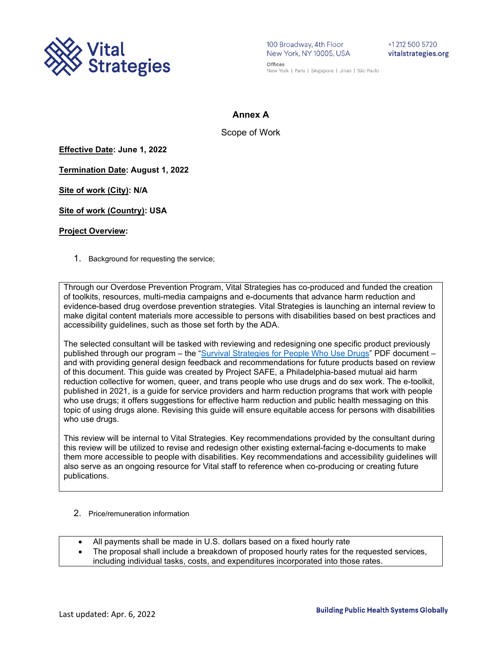

100 Broadway, 4th Floor New York, NY 10005, USA Offices

+1 212 500 5720 vitalstrategies.org

New York | Paris | Singapore | Jinan | São Paulo

### **Annex A**

Scope of Work

**Effective Date: June 1, 2022**

**Termination Date: August 1, 2022**

**Site of work (City): N/A**

**Site of work (Country): USA**

#### **Project Overview:**

1. Background for requesting the service;

Through our Overdose Prevention Program, Vital Strategies has co-produced and funded the creation of toolkits, resources, multi-media campaigns and e-documents that advance harm reduction and evidence-based drug overdose prevention strategies. Vital Strategies is launching an internal review to make digital content materials more accessible to persons with disabilities based on best practices and accessibility guidelines, such as those set forth by the ADA.

The selected consultant will be tasked with reviewing and redesigning one specific product previously published through our program – the ["Survival Strategies for People Who Use Drugs"](https://www.vitalstrategies.org/wp-content/uploads/PWUD-ServiceProvider-Guide-07142021.pdf) PDF document – and with providing general design feedback and recommendations for future products based on review of this document. This guide was created by Project SAFE, a Philadelphia-based mutual aid harm reduction collective for women, queer, and trans people who use drugs and do sex work. The e-toolkit, published in 2021, is a guide for service providers and harm reduction programs that work with people who use drugs; it offers suggestions for effective harm reduction and public health messaging on this topic of using drugs alone. Revising this guide will ensure equitable access for persons with disabilities who use drugs.

This review will be internal to Vital Strategies. Key recommendations provided by the consultant during this review will be utilized to revise and redesign other existing external-facing e-documents to make them more accessible to people with disabilities. Key recommendations and accessibility guidelines will also serve as an ongoing resource for Vital staff to reference when co-producing or creating future publications.

- 2. Price/remuneration information
- All payments shall be made in U.S. dollars based on a fixed hourly rate
- The proposal shall include a breakdown of proposed hourly rates for the requested services, including individual tasks, costs, and expenditures incorporated into those rates.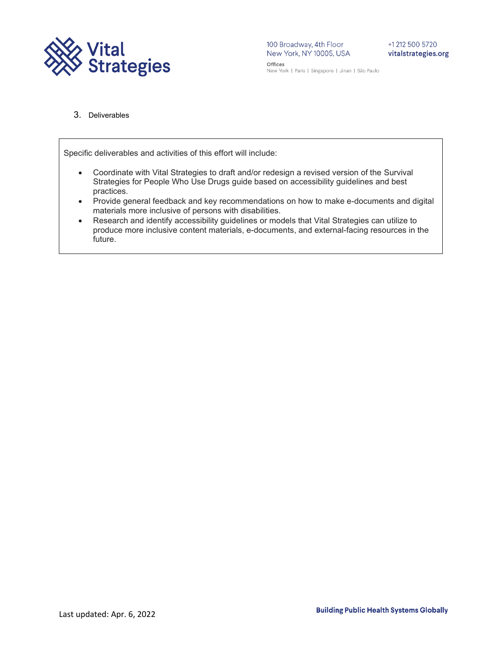

3. Deliverables

Specific deliverables and activities of this effort will include:

- Coordinate with Vital Strategies to draft and/or redesign a revised version of the Survival Strategies for People Who Use Drugs guide based on accessibility guidelines and best practices.
- Provide general feedback and key recommendations on how to make e-documents and digital materials more inclusive of persons with disabilities.
- Research and identify accessibility guidelines or models that Vital Strategies can utilize to produce more inclusive content materials, e-documents, and external-facing resources in the future.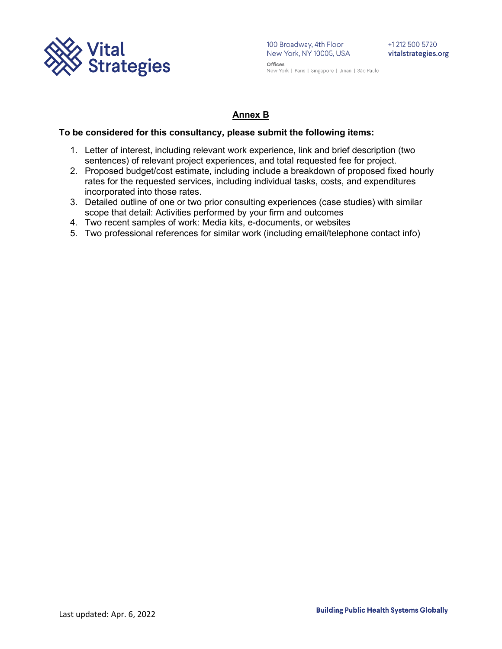

100 Broadway, 4th Floor<br>New York, NY 10005, USA Offices

New York | Paris | Singapore | Jinan | São Paulo

### **Annex B**

### **To be considered for this consultancy, please submit the following items:**

- 1. Letter of interest, including relevant work experience, link and brief description (two sentences) of relevant project experiences, and total requested fee for project.
- 2. Proposed budget/cost estimate, including include a breakdown of proposed fixed hourly rates for the requested services, including individual tasks, costs, and expenditures incorporated into those rates.
- 3. Detailed outline of one or two prior consulting experiences (case studies) with similar scope that detail: Activities performed by your firm and outcomes
- 4. Two recent samples of work: Media kits, e-documents, or websites
- 5. Two professional references for similar work (including email/telephone contact info)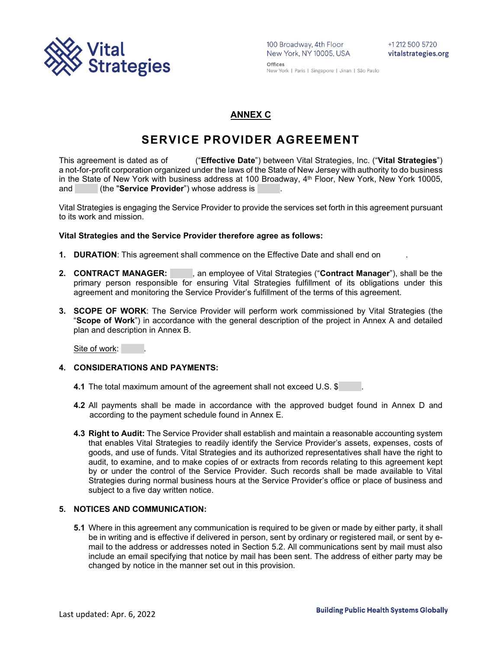

### **ANNEX C**

# **SERVICE PROVIDER AGREEMENT**

This agreement is dated as of ("**Effective Date**") between Vital Strategies, Inc. ("**Vital Strategies**") a not-for-profit corporation organized under the laws of the State of New Jersey with authority to do business in the State of New York with business address at 100 Broadway, 4th Floor, New York, New York 10005, and (the "**Service Provider**") whose address is

Vital Strategies is engaging the Service Provider to provide the services set forth in this agreement pursuant to its work and mission.

### **Vital Strategies and the Service Provider therefore agree as follows:**

- **1. DURATION**: This agreement shall commence on the Effective Date and shall end on .
- 2. **CONTRACT MANAGER:** , an employee of Vital Strategies ("Contract Manager"), shall be the primary person responsible for ensuring Vital Strategies fulfillment of its obligations under this agreement and monitoring the Service Provider's fulfillment of the terms of this agreement.
- **3. SCOPE OF WORK**: The Service Provider will perform work commissioned by Vital Strategies (the "**Scope of Work**") in accordance with the general description of the project in Annex A and detailed plan and description in Annex B.

Site of work:

#### **4. CONSIDERATIONS AND PAYMENTS:**

- **4.1** The total maximum amount of the agreement shall not exceed U.S. \$
- **4.2** All payments shall be made in accordance with the approved budget found in Annex D and according to the payment schedule found in Annex E.
- **4.3 Right to Audit:** The Service Provider shall establish and maintain a reasonable accounting system that enables Vital Strategies to readily identify the Service Provider's assets, expenses, costs of goods, and use of funds. Vital Strategies and its authorized representatives shall have the right to audit, to examine, and to make copies of or extracts from records relating to this agreement kept by or under the control of the Service Provider. Such records shall be made available to Vital Strategies during normal business hours at the Service Provider's office or place of business and subject to a five day written notice.

### **5. NOTICES AND COMMUNICATION:**

**5.1** Where in this agreement any communication is required to be given or made by either party, it shall be in writing and is effective if delivered in person, sent by ordinary or registered mail, or sent by email to the address or addresses noted in Section 5.2. All communications sent by mail must also include an email specifying that notice by mail has been sent. The address of either party may be changed by notice in the manner set out in this provision.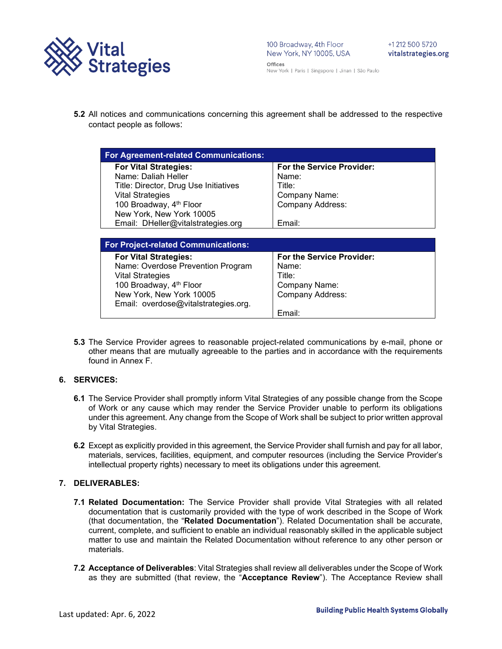

**5.2** All notices and communications concerning this agreement shall be addressed to the respective contact people as follows:

| <b>For Agreement-related Communications:</b> |                                  |
|----------------------------------------------|----------------------------------|
| <b>For Vital Strategies:</b>                 | <b>For the Service Provider:</b> |
| Name: Daliah Heller                          | Name:                            |
| Title: Director, Drug Use Initiatives        | Title:                           |
| <b>Vital Strategies</b>                      | Company Name:                    |
| 100 Broadway, 4 <sup>th</sup> Floor          | <b>Company Address:</b>          |
| New York, New York 10005                     |                                  |
| Email: DHeller@vitalstrategies.org           | Email:                           |
|                                              |                                  |
| <b>For Project-related Communications:</b>   |                                  |

| For Project-related Communications:  |                           |
|--------------------------------------|---------------------------|
| <b>For Vital Strategies:</b>         | For the Service Provider: |
| Name: Overdose Prevention Program    | Name:                     |
| <b>Vital Strategies</b>              | Title:                    |
| 100 Broadway, 4 <sup>th</sup> Floor  | Company Name:             |
| New York, New York 10005             | <b>Company Address:</b>   |
| Email: overdose@vitalstrategies.org. |                           |
|                                      | Email:                    |

**5.3** The Service Provider agrees to reasonable project-related communications by e-mail, phone or other means that are mutually agreeable to the parties and in accordance with the requirements found in Annex F.

### **6. SERVICES:**

- **6.1** The Service Provider shall promptly inform Vital Strategies of any possible change from the Scope of Work or any cause which may render the Service Provider unable to perform its obligations under this agreement. Any change from the Scope of Work shall be subject to prior written approval by Vital Strategies.
- **6.2** Except as explicitly provided in this agreement, the Service Provider shall furnish and pay for all labor, materials, services, facilities, equipment, and computer resources (including the Service Provider's intellectual property rights) necessary to meet its obligations under this agreement.

#### **7. DELIVERABLES:**

- **7.1 Related Documentation:** The Service Provider shall provide Vital Strategies with all related documentation that is customarily provided with the type of work described in the Scope of Work (that documentation, the "**Related Documentation**"). Related Documentation shall be accurate, current, complete, and sufficient to enable an individual reasonably skilled in the applicable subject matter to use and maintain the Related Documentation without reference to any other person or materials.
- **7.2 Acceptance of Deliverables**: Vital Strategies shall review all deliverables under the Scope of Work as they are submitted (that review, the "**Acceptance Review**"). The Acceptance Review shall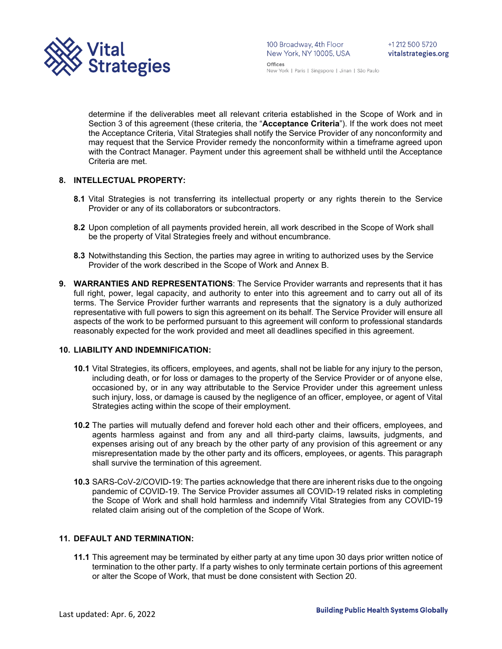

determine if the deliverables meet all relevant criteria established in the Scope of Work and in Section 3 of this agreement (these criteria, the "**Acceptance Criteria**"). If the work does not meet the Acceptance Criteria, Vital Strategies shall notify the Service Provider of any nonconformity and may request that the Service Provider remedy the nonconformity within a timeframe agreed upon with the Contract Manager. Payment under this agreement shall be withheld until the Acceptance Criteria are met.

### **8. INTELLECTUAL PROPERTY:**

- **8.1** Vital Strategies is not transferring its intellectual property or any rights therein to the Service Provider or any of its collaborators or subcontractors.
- **8.2** Upon completion of all payments provided herein, all work described in the Scope of Work shall be the property of Vital Strategies freely and without encumbrance.
- **8.3** Notwithstanding this Section, the parties may agree in writing to authorized uses by the Service Provider of the work described in the Scope of Work and Annex B.
- **9. WARRANTIES AND REPRESENTATIONS**: The Service Provider warrants and represents that it has full right, power, legal capacity, and authority to enter into this agreement and to carry out all of its terms. The Service Provider further warrants and represents that the signatory is a duly authorized representative with full powers to sign this agreement on its behalf. The Service Provider will ensure all aspects of the work to be performed pursuant to this agreement will conform to professional standards reasonably expected for the work provided and meet all deadlines specified in this agreement.

#### **10. LIABILITY AND INDEMNIFICATION:**

- **10.1** Vital Strategies, its officers, employees, and agents, shall not be liable for any injury to the person, including death, or for loss or damages to the property of the Service Provider or of anyone else, occasioned by, or in any way attributable to the Service Provider under this agreement unless such injury, loss, or damage is caused by the negligence of an officer, employee, or agent of Vital Strategies acting within the scope of their employment.
- **10.2** The parties will mutually defend and forever hold each other and their officers, employees, and agents harmless against and from any and all third-party claims, lawsuits, judgments, and expenses arising out of any breach by the other party of any provision of this agreement or any misrepresentation made by the other party and its officers, employees, or agents. This paragraph shall survive the termination of this agreement.
- **10.3** SARS-CoV-2/COVID-19: The parties acknowledge that there are inherent risks due to the ongoing pandemic of COVID-19. The Service Provider assumes all COVID-19 related risks in completing the Scope of Work and shall hold harmless and indemnify Vital Strategies from any COVID-19 related claim arising out of the completion of the Scope of Work.

#### **11. DEFAULT AND TERMINATION:**

**11.1** This agreement may be terminated by either party at any time upon 30 days prior written notice of termination to the other party. If a party wishes to only terminate certain portions of this agreement or alter the Scope of Work, that must be done consistent with Section 20.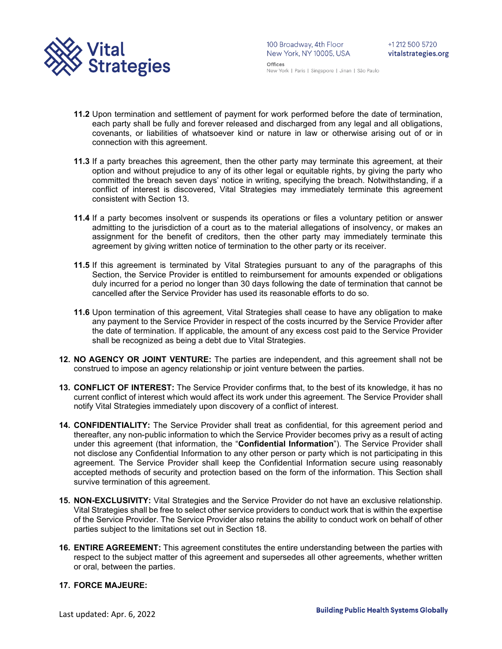

- **11.2** Upon termination and settlement of payment for work performed before the date of termination, each party shall be fully and forever released and discharged from any legal and all obligations, covenants, or liabilities of whatsoever kind or nature in law or otherwise arising out of or in connection with this agreement.
- **11.3** If a party breaches this agreement, then the other party may terminate this agreement, at their option and without prejudice to any of its other legal or equitable rights, by giving the party who committed the breach seven days' notice in writing, specifying the breach. Notwithstanding, if a conflict of interest is discovered, Vital Strategies may immediately terminate this agreement consistent with Section 13.
- **11.4** If a party becomes insolvent or suspends its operations or files a voluntary petition or answer admitting to the jurisdiction of a court as to the material allegations of insolvency, or makes an assignment for the benefit of creditors, then the other party may immediately terminate this agreement by giving written notice of termination to the other party or its receiver.
- **11.5** If this agreement is terminated by Vital Strategies pursuant to any of the paragraphs of this Section, the Service Provider is entitled to reimbursement for amounts expended or obligations duly incurred for a period no longer than 30 days following the date of termination that cannot be cancelled after the Service Provider has used its reasonable efforts to do so.
- **11.6** Upon termination of this agreement, Vital Strategies shall cease to have any obligation to make any payment to the Service Provider in respect of the costs incurred by the Service Provider after the date of termination. If applicable, the amount of any excess cost paid to the Service Provider shall be recognized as being a debt due to Vital Strategies.
- **12. NO AGENCY OR JOINT VENTURE:** The parties are independent, and this agreement shall not be construed to impose an agency relationship or joint venture between the parties.
- **13. CONFLICT OF INTEREST:** The Service Provider confirms that, to the best of its knowledge, it has no current conflict of interest which would affect its work under this agreement. The Service Provider shall notify Vital Strategies immediately upon discovery of a conflict of interest.
- **14. CONFIDENTIALITY:** The Service Provider shall treat as confidential, for this agreement period and thereafter, any non-public information to which the Service Provider becomes privy as a result of acting under this agreement (that information, the "**Confidential Information**"). The Service Provider shall not disclose any Confidential Information to any other person or party which is not participating in this agreement. The Service Provider shall keep the Confidential Information secure using reasonably accepted methods of security and protection based on the form of the information. This Section shall survive termination of this agreement.
- **15. NON-EXCLUSIVITY:** Vital Strategies and the Service Provider do not have an exclusive relationship. Vital Strategies shall be free to select other service providers to conduct work that is within the expertise of the Service Provider. The Service Provider also retains the ability to conduct work on behalf of other parties subject to the limitations set out in Section 18.
- **16. ENTIRE AGREEMENT:** This agreement constitutes the entire understanding between the parties with respect to the subject matter of this agreement and supersedes all other agreements, whether written or oral, between the parties.

#### **17. FORCE MAJEURE:**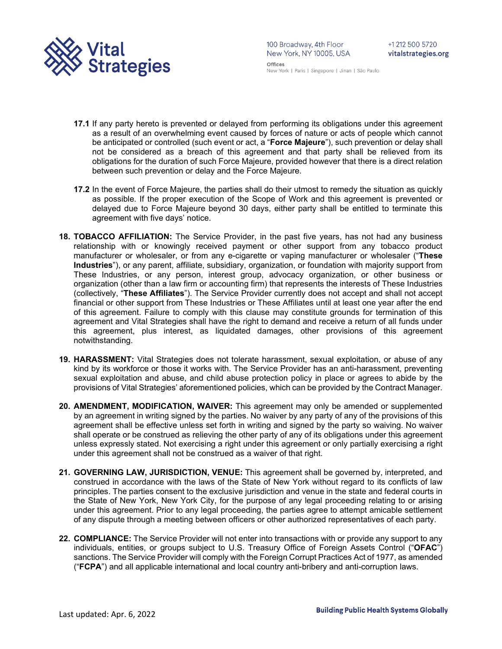

100 Broadway, 4th Floor 100 Broadway, 4th Floor<br>New York, NY 10005, USA Offices

New York | Paris | Singapore | Jinan | São Paulo

- **17.1** If any party hereto is prevented or delayed from performing its obligations under this agreement as a result of an overwhelming event caused by forces of nature or acts of people which cannot be anticipated or controlled (such event or act, a "**Force Majeure**"), such prevention or delay shall not be considered as a breach of this agreement and that party shall be relieved from its obligations for the duration of such Force Majeure, provided however that there is a direct relation between such prevention or delay and the Force Majeure.
- **17.2** In the event of Force Majeure, the parties shall do their utmost to remedy the situation as quickly as possible. If the proper execution of the Scope of Work and this agreement is prevented or delayed due to Force Majeure beyond 30 days, either party shall be entitled to terminate this agreement with five days' notice.
- **18. TOBACCO AFFILIATION:** The Service Provider, in the past five years, has not had any business relationship with or knowingly received payment or other support from any tobacco product manufacturer or wholesaler, or from any e-cigarette or vaping manufacturer or wholesaler ("**These Industries**"), or any parent, affiliate, subsidiary, organization, or foundation with majority support from These Industries, or any person, interest group, advocacy organization, or other business or organization (other than a law firm or accounting firm) that represents the interests of These Industries (collectively, "**These Affiliates**"). The Service Provider currently does not accept and shall not accept financial or other support from These Industries or These Affiliates until at least one year after the end of this agreement. Failure to comply with this clause may constitute grounds for termination of this agreement and Vital Strategies shall have the right to demand and receive a return of all funds under this agreement, plus interest, as liquidated damages, other provisions of this agreement notwithstanding.
- **19. HARASSMENT:** Vital Strategies does not tolerate harassment, sexual exploitation, or abuse of any kind by its workforce or those it works with. The Service Provider has an anti-harassment, preventing sexual exploitation and abuse, and child abuse protection policy in place or agrees to abide by the provisions of Vital Strategies' aforementioned policies, which can be provided by the Contract Manager.
- **20. AMENDMENT, MODIFICATION, WAIVER:** This agreement may only be amended or supplemented by an agreement in writing signed by the parties. No waiver by any party of any of the provisions of this agreement shall be effective unless set forth in writing and signed by the party so waiving. No waiver shall operate or be construed as relieving the other party of any of its obligations under this agreement unless expressly stated. Not exercising a right under this agreement or only partially exercising a right under this agreement shall not be construed as a waiver of that right.
- **21. GOVERNING LAW, JURISDICTION, VENUE:** This agreement shall be governed by, interpreted, and construed in accordance with the laws of the State of New York without regard to its conflicts of law principles. The parties consent to the exclusive jurisdiction and venue in the state and federal courts in the State of New York, New York City, for the purpose of any legal proceeding relating to or arising under this agreement. Prior to any legal proceeding, the parties agree to attempt amicable settlement of any dispute through a meeting between officers or other authorized representatives of each party.
- **22. COMPLIANCE:** The Service Provider will not enter into transactions with or provide any support to any individuals, entities, or groups subject to U.S. Treasury Office of Foreign Assets Control ("**OFAC**") sanctions. The Service Provider will comply with the Foreign Corrupt Practices Act of 1977, as amended ("**FCPA**") and all applicable international and local country anti-bribery and anti-corruption laws.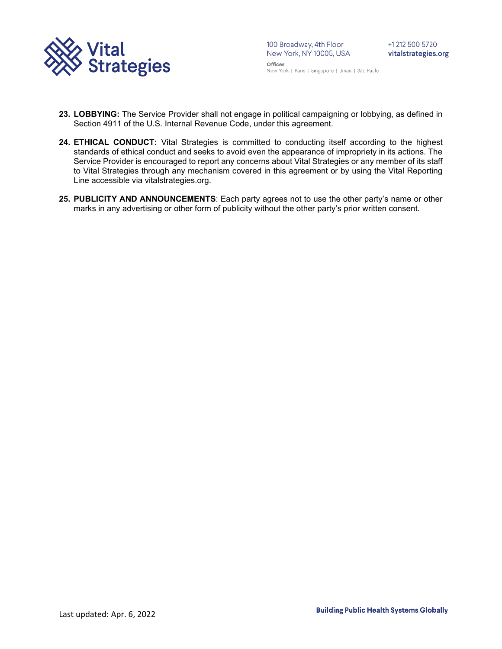

- **23. LOBBYING:** The Service Provider shall not engage in political campaigning or lobbying, as defined in Section 4911 of the U.S. Internal Revenue Code, under this agreement.
- **24. ETHICAL CONDUCT:** Vital Strategies is committed to conducting itself according to the highest standards of ethical conduct and seeks to avoid even the appearance of impropriety in its actions. The Service Provider is encouraged to report any concerns about Vital Strategies or any member of its staff to Vital Strategies through any mechanism covered in this agreement or by using the Vital Reporting Line accessible via vitalstrategies.org.
- **25. PUBLICITY AND ANNOUNCEMENTS**: Each party agrees not to use the other party's name or other marks in any advertising or other form of publicity without the other party's prior written consent.